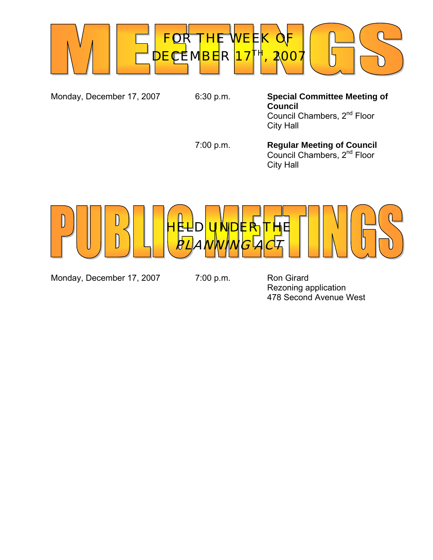

Monday, December 17, 2007 6:30 p.m. **Special Committee Meeting of Council** Council Chambers, 2<sup>nd</sup> Floor City Hall

 7:00 p.m. **Regular Meeting of Council**  *Council Chambers, 2<sup>nd</sup> Floor* City Hall



Monday, December 17, 2007 7:00 p.m. Ron Girard

 Rezoning application 478 Second Avenue West